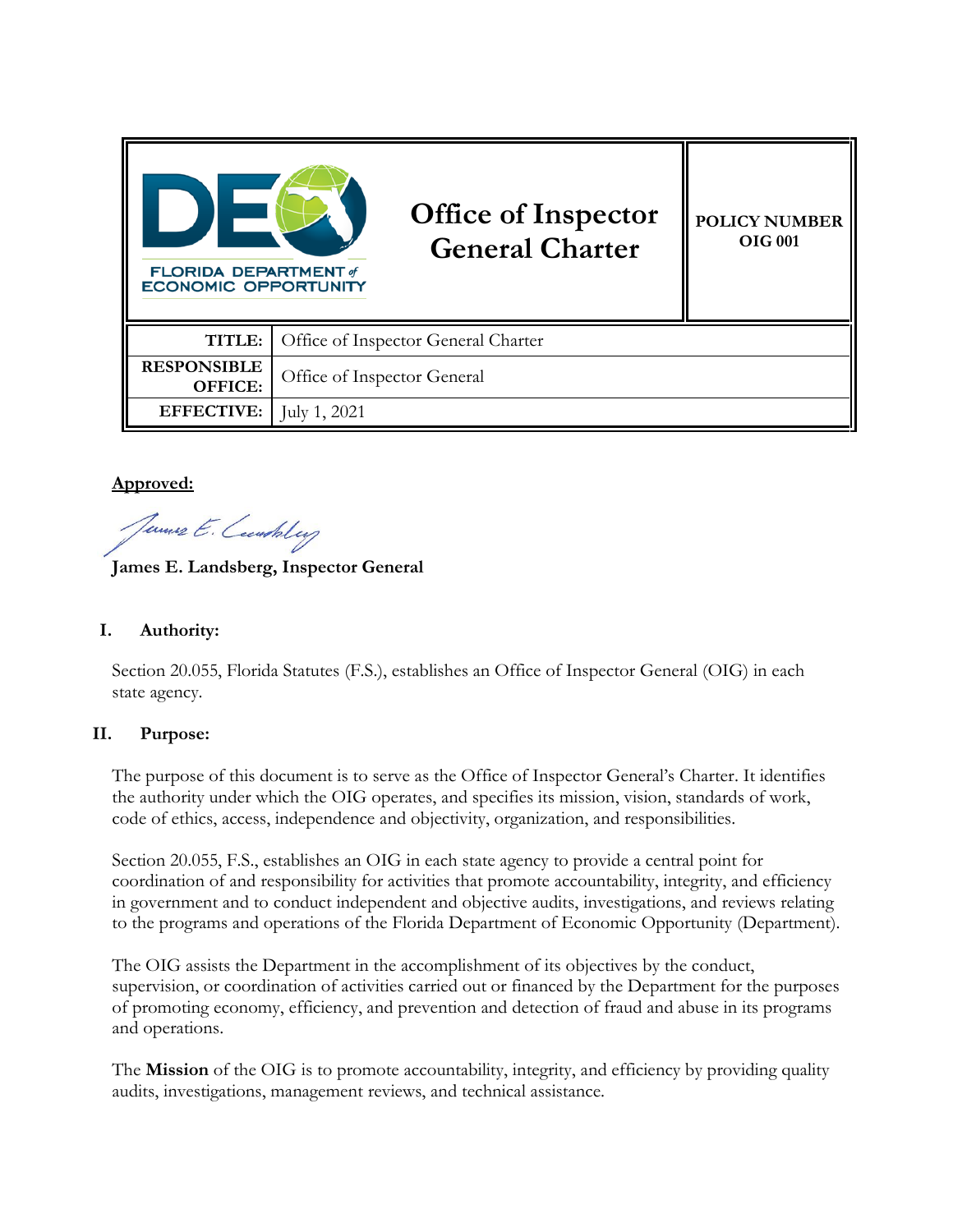| <b>FLORIDA DEPARTMENT of</b><br><b>ECONOMIC OPPORTUNITY</b> | <b>Office of Inspector</b><br><b>General Charter</b> | <b>POLICY NUMBER</b><br><b>OIG 001</b> |
|-------------------------------------------------------------|------------------------------------------------------|----------------------------------------|
| TITLE:                                                      | Office of Inspector General Charter                  |                                        |
| <b>RESPONSIBLE</b><br>OFFICE:                               | Office of Inspector General                          |                                        |
| <b>EFFECTIVE:</b>                                           | July 1, 2021                                         |                                        |

### **Approved:**

Jemes E. Cembility

**James E. Landsberg, Inspector General**

# **I. Authority:**

Section 20.055, Florida Statutes (F.S.), establishes an Office of Inspector General (OIG) in each state agency.

#### **II. Purpose:**

The purpose of this document is to serve as the Office of Inspector General's Charter. It identifies the authority under which the OIG operates, and specifies its mission, vision, standards of work, code of ethics, access, independence and objectivity, organization, and responsibilities.

Section 20.055, F.S., establishes an OIG in each state agency to provide a central point for coordination of and responsibility for activities that promote accountability, integrity, and efficiency in government and to conduct independent and objective audits, investigations, and reviews relating to the programs and operations of the Florida Department of Economic Opportunity (Department).

The OIG assists the Department in the accomplishment of its objectives by the conduct, supervision, or coordination of activities carried out or financed by the Department for the purposes of promoting economy, efficiency, and prevention and detection of fraud and abuse in its programs and operations.

The **Mission** of the OIG is to promote accountability, integrity, and efficiency by providing quality audits, investigations, management reviews, and technical assistance.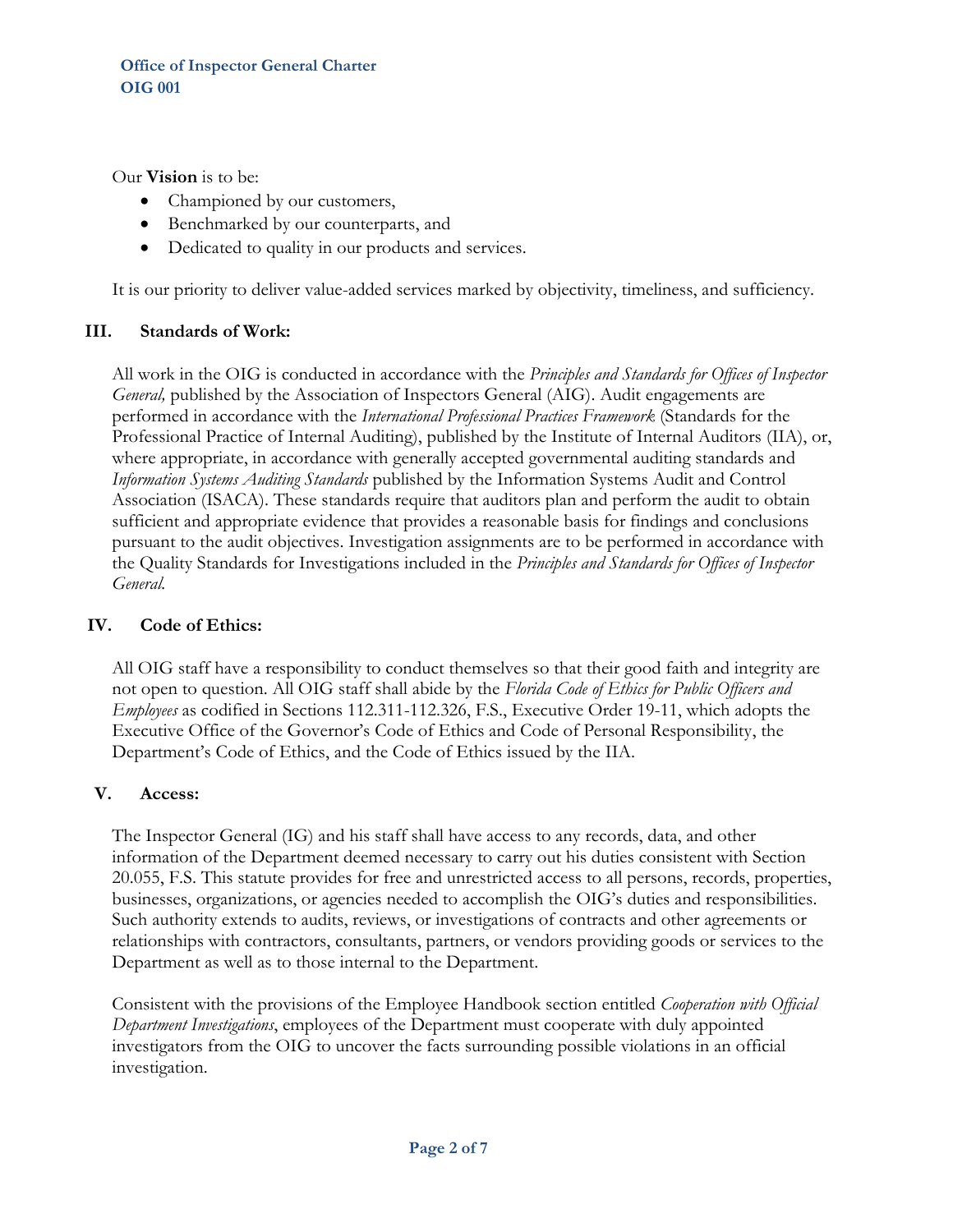Our **Vision** is to be:

- Championed by our customers,
- Benchmarked by our counterparts, and
- Dedicated to quality in our products and services.

It is our priority to deliver value-added services marked by objectivity, timeliness, and sufficiency.

#### **III. Standards of Work:**

All work in the OIG is conducted in accordance with the *Principles and Standards for Offices of Inspector General,* published by the Association of Inspectors General (AIG). Audit engagements are performed in accordance with the *International Professional Practices Framework* (Standards for the Professional Practice of Internal Auditing), published by the Institute of Internal Auditors (IIA), or, where appropriate, in accordance with generally accepted governmental auditing standards and *Information Systems Auditing Standards* published by the Information Systems Audit and Control Association (ISACA). These standards require that auditors plan and perform the audit to obtain sufficient and appropriate evidence that provides a reasonable basis for findings and conclusions pursuant to the audit objectives. Investigation assignments are to be performed in accordance with the Quality Standards for Investigations included in the *Principles and Standards for Offices of Inspector General.* 

## **IV. Code of Ethics:**

All OIG staff have a responsibility to conduct themselves so that their good faith and integrity are not open to question. All OIG staff shall abide by the *Florida Code of Ethics for Public Officers and Employees* as codified in Sections 112.311-112.326, F.S., Executive Order 19-11, which adopts the Executive Office of the Governor's Code of Ethics and Code of Personal Responsibility, the Department's Code of Ethics, and the Code of Ethics issued by the IIA.

#### **V. Access:**

The Inspector General (IG) and his staff shall have access to any records, data, and other information of the Department deemed necessary to carry out his duties consistent with Section 20.055, F.S. This statute provides for free and unrestricted access to all persons, records, properties, businesses, organizations, or agencies needed to accomplish the OIG's duties and responsibilities. Such authority extends to audits, reviews, or investigations of contracts and other agreements or relationships with contractors, consultants, partners, or vendors providing goods or services to the Department as well as to those internal to the Department.

Consistent with the provisions of the Employee Handbook section entitled *Cooperation with Official Department Investigations*, employees of the Department must cooperate with duly appointed investigators from the OIG to uncover the facts surrounding possible violations in an official investigation.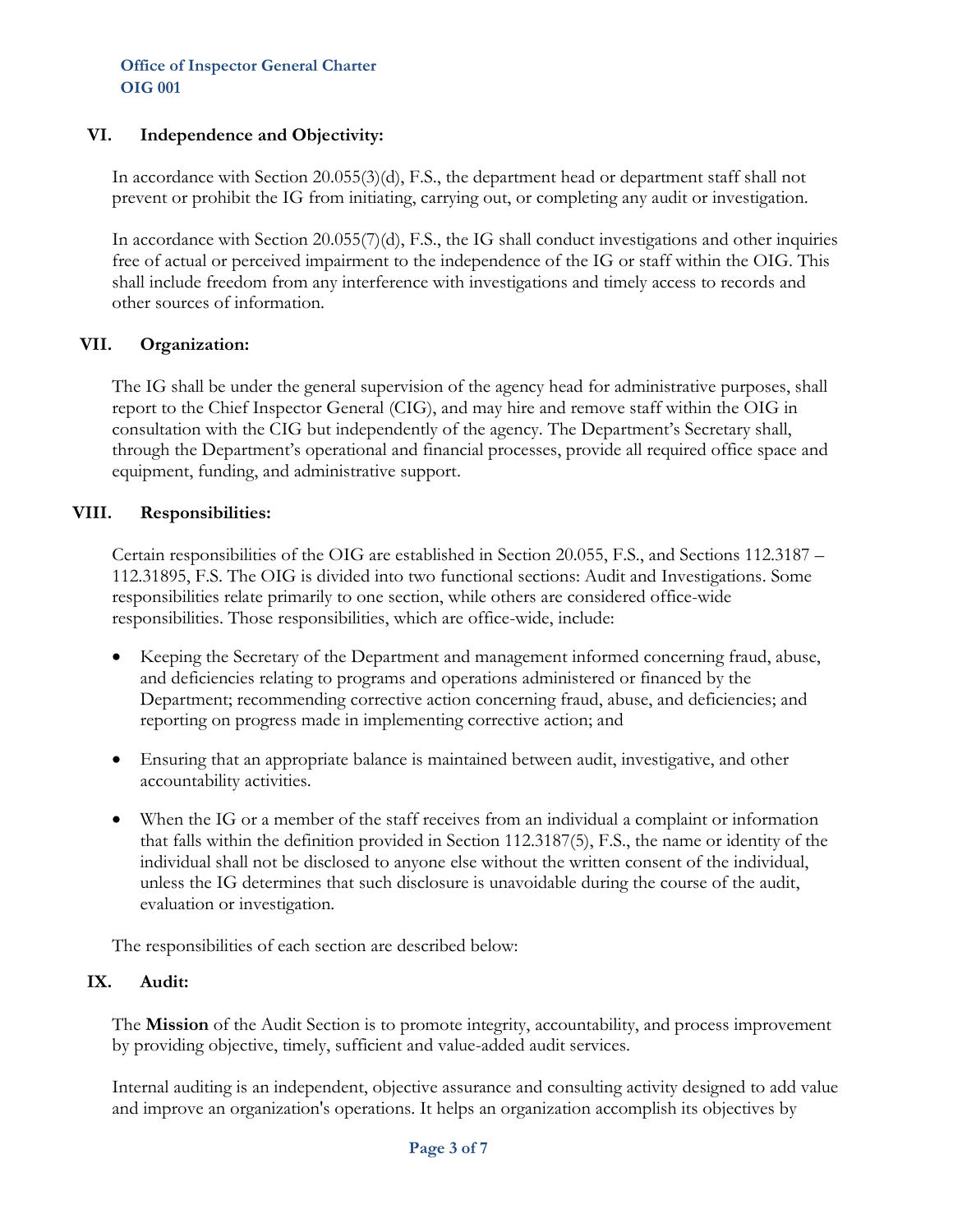#### **VI. Independence and Objectivity:**

In accordance with Section 20.055(3)(d), F.S., the department head or department staff shall not prevent or prohibit the IG from initiating, carrying out, or completing any audit or investigation.

In accordance with Section 20.055(7)(d), F.S., the IG shall conduct investigations and other inquiries free of actual or perceived impairment to the independence of the IG or staff within the OIG. This shall include freedom from any interference with investigations and timely access to records and other sources of information.

### **VII. Organization:**

The IG shall be under the general supervision of the agency head for administrative purposes, shall report to the Chief Inspector General (CIG), and may hire and remove staff within the OIG in consultation with the CIG but independently of the agency. The Department's Secretary shall, through the Department's operational and financial processes, provide all required office space and equipment, funding, and administrative support.

### **VIII. Responsibilities:**

Certain responsibilities of the OIG are established in Section 20.055, F.S., and Sections 112.3187 – 112.31895, F.S. The OIG is divided into two functional sections: Audit and Investigations. Some responsibilities relate primarily to one section, while others are considered office-wide responsibilities. Those responsibilities, which are office-wide, include:

- Keeping the Secretary of the Department and management informed concerning fraud, abuse, and deficiencies relating to programs and operations administered or financed by the Department; recommending corrective action concerning fraud, abuse, and deficiencies; and reporting on progress made in implementing corrective action; and
- Ensuring that an appropriate balance is maintained between audit, investigative, and other accountability activities.
- When the IG or a member of the staff receives from an individual a complaint or information that falls within the definition provided in Section 112.3187(5), F.S., the name or identity of the individual shall not be disclosed to anyone else without the written consent of the individual, unless the IG determines that such disclosure is unavoidable during the course of the audit, evaluation or investigation.

The responsibilities of each section are described below:

#### **IX. Audit:**

The **Mission** of the Audit Section is to promote integrity, accountability, and process improvement by providing objective, timely, sufficient and value-added audit services.

Internal auditing is an independent, objective assurance and consulting activity designed to add value and improve an organization's operations. It helps an organization accomplish its objectives by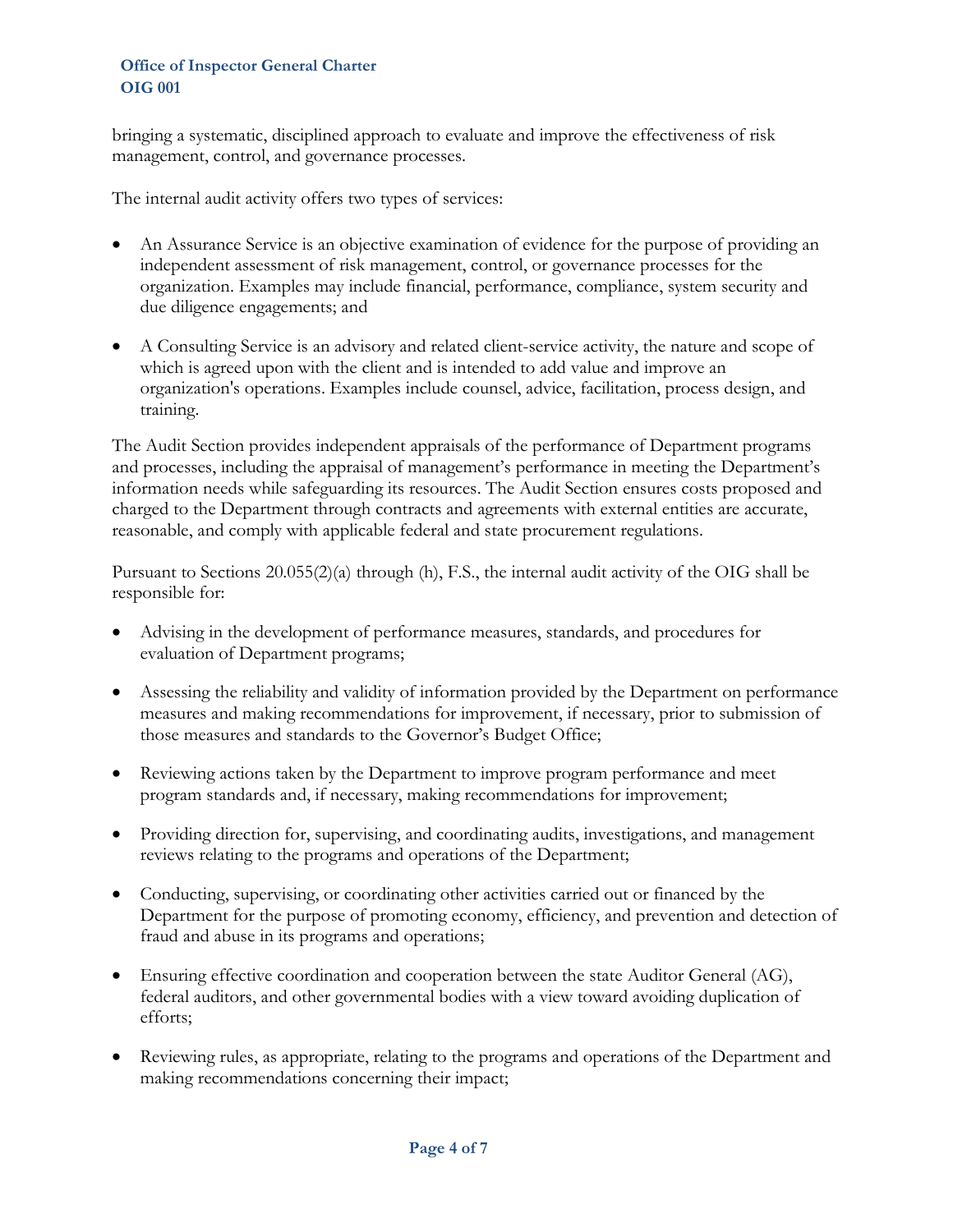bringing a systematic, disciplined approach to evaluate and improve the effectiveness of risk management, control, and governance processes.

The internal audit activity offers two types of services:

- An Assurance Service is an objective examination of evidence for the purpose of providing an independent assessment of risk management, control, or governance processes for the organization. Examples may include financial, performance, compliance, system security and due diligence engagements; and
- A Consulting Service is an advisory and related client-service activity, the nature and scope of which is agreed upon with the client and is intended to add value and improve an organization's operations. Examples include counsel, advice, facilitation, process design, and training.

The Audit Section provides independent appraisals of the performance of Department programs and processes, including the appraisal of management's performance in meeting the Department's information needs while safeguarding its resources. The Audit Section ensures costs proposed and charged to the Department through contracts and agreements with external entities are accurate, reasonable, and comply with applicable federal and state procurement regulations.

Pursuant to Sections 20.055(2)(a) through (h), F.S., the internal audit activity of the OIG shall be responsible for:

- Advising in the development of performance measures, standards, and procedures for evaluation of Department programs;
- Assessing the reliability and validity of information provided by the Department on performance measures and making recommendations for improvement, if necessary, prior to submission of those measures and standards to the Governor's Budget Office;
- Reviewing actions taken by the Department to improve program performance and meet program standards and, if necessary, making recommendations for improvement;
- Providing direction for, supervising, and coordinating audits, investigations, and management reviews relating to the programs and operations of the Department;
- Conducting, supervising, or coordinating other activities carried out or financed by the Department for the purpose of promoting economy, efficiency, and prevention and detection of fraud and abuse in its programs and operations;
- Ensuring effective coordination and cooperation between the state Auditor General (AG), federal auditors, and other governmental bodies with a view toward avoiding duplication of efforts;
- Reviewing rules, as appropriate, relating to the programs and operations of the Department and making recommendations concerning their impact;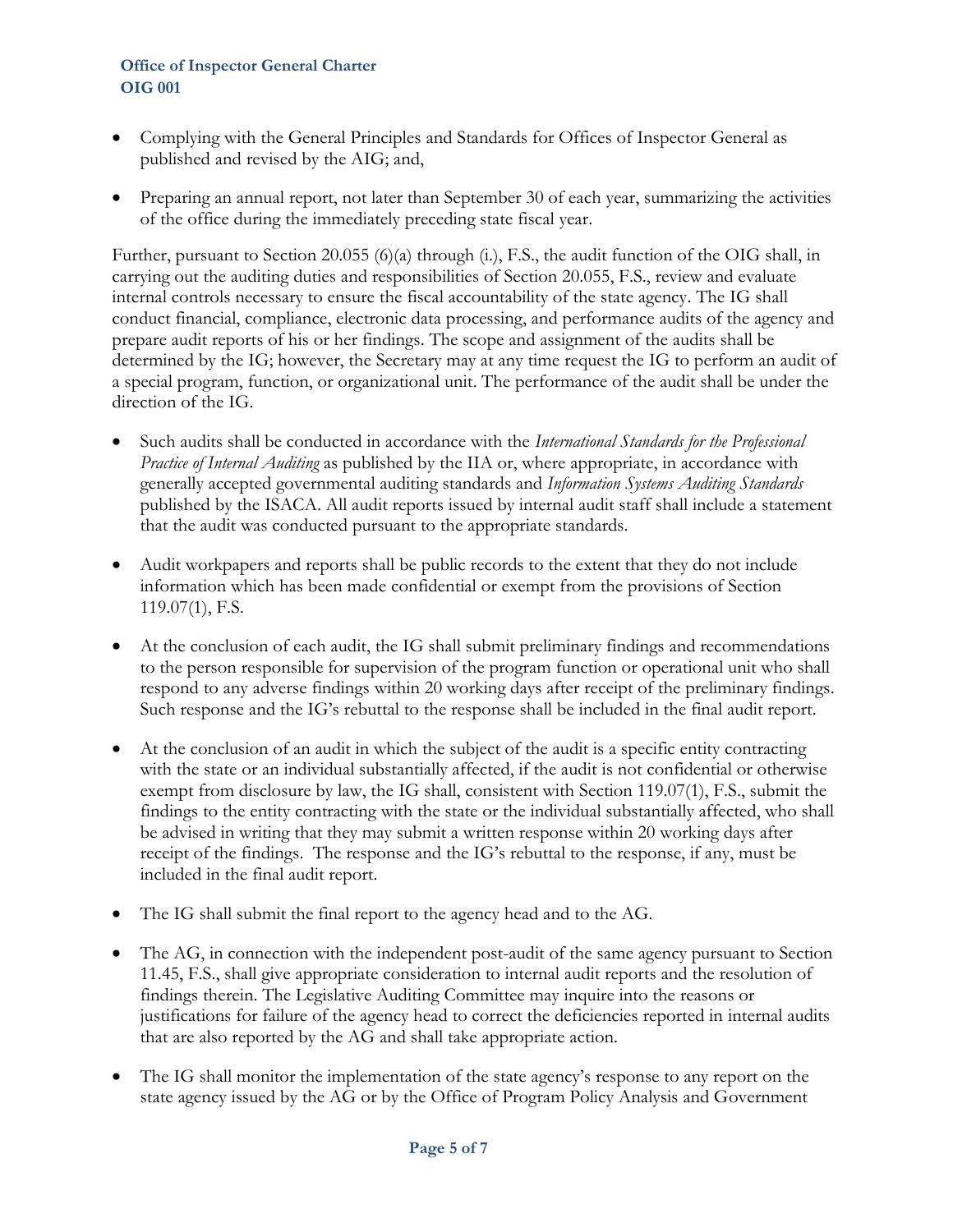- Complying with the General Principles and Standards for Offices of Inspector General as published and revised by the AIG; and,
- Preparing an annual report, not later than September 30 of each year, summarizing the activities of the office during the immediately preceding state fiscal year.

Further, pursuant to Section 20.055 (6)(a) through (i.), F.S., the audit function of the OIG shall, in carrying out the auditing duties and responsibilities of Section 20.055, F.S., review and evaluate internal controls necessary to ensure the fiscal accountability of the state agency. The IG shall conduct financial, compliance, electronic data processing, and performance audits of the agency and prepare audit reports of his or her findings. The scope and assignment of the audits shall be determined by the IG; however, the Secretary may at any time request the IG to perform an audit of a special program, function, or organizational unit. The performance of the audit shall be under the direction of the IG.

- Such audits shall be conducted in accordance with the *International Standards for the Professional Practice of Internal Auditing* as published by the IIA or, where appropriate, in accordance with generally accepted governmental auditing standards and *Information Systems Auditing Standards*  published by the ISACA. All audit reports issued by internal audit staff shall include a statement that the audit was conducted pursuant to the appropriate standards.
- Audit workpapers and reports shall be public records to the extent that they do not include information which has been made confidential or exempt from the provisions of Section 119.07(1), F.S.
- At the conclusion of each audit, the IG shall submit preliminary findings and recommendations to the person responsible for supervision of the program function or operational unit who shall respond to any adverse findings within 20 working days after receipt of the preliminary findings. Such response and the IG's rebuttal to the response shall be included in the final audit report.
- At the conclusion of an audit in which the subject of the audit is a specific entity contracting with the state or an individual substantially affected, if the audit is not confidential or otherwise exempt from disclosure by law, the IG shall, consistent with Section 119.07(1), F.S., submit the findings to the entity contracting with the state or the individual substantially affected, who shall be advised in writing that they may submit a written response within 20 working days after receipt of the findings. The response and the IG's rebuttal to the response, if any, must be included in the final audit report.
- The IG shall submit the final report to the agency head and to the AG.
- The AG, in connection with the independent post-audit of the same agency pursuant to Section 11.45, F.S., shall give appropriate consideration to internal audit reports and the resolution of findings therein. The Legislative Auditing Committee may inquire into the reasons or justifications for failure of the agency head to correct the deficiencies reported in internal audits that are also reported by the AG and shall take appropriate action.
- The IG shall monitor the implementation of the state agency's response to any report on the state agency issued by the AG or by the Office of Program Policy Analysis and Government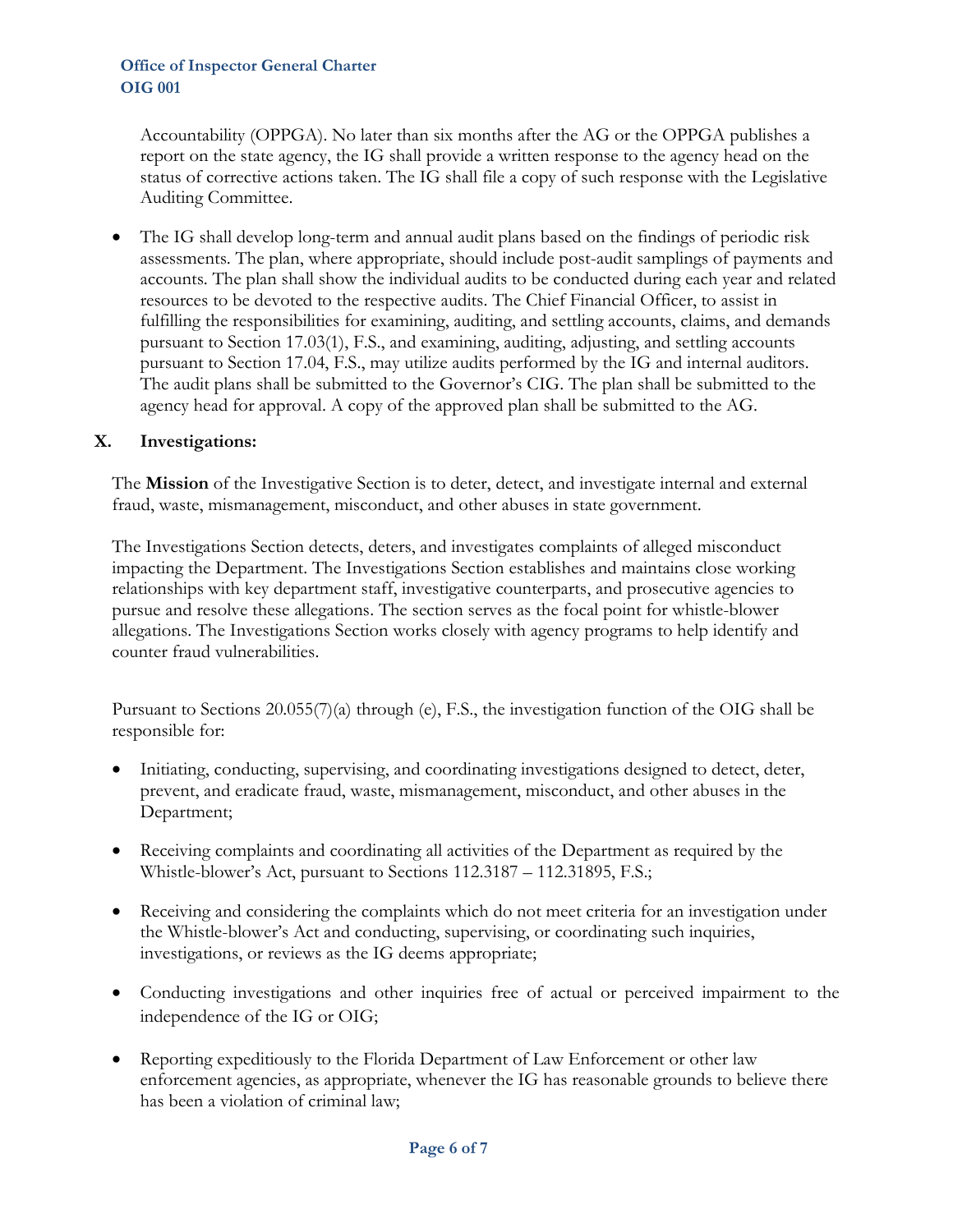Accountability (OPPGA). No later than six months after the AG or the OPPGA publishes a report on the state agency, the IG shall provide a written response to the agency head on the status of corrective actions taken. The IG shall file a copy of such response with the Legislative Auditing Committee.

• The IG shall develop long-term and annual audit plans based on the findings of periodic risk assessments. The plan, where appropriate, should include post-audit samplings of payments and accounts. The plan shall show the individual audits to be conducted during each year and related resources to be devoted to the respective audits. The Chief Financial Officer, to assist in fulfilling the responsibilities for examining, auditing, and settling accounts, claims, and demands pursuant to Section 17.03(1), F.S., and examining, auditing, adjusting, and settling accounts pursuant to Section 17.04, F.S., may utilize audits performed by the IG and internal auditors. The audit plans shall be submitted to the Governor's CIG. The plan shall be submitted to the agency head for approval. A copy of the approved plan shall be submitted to the AG.

# **X. Investigations:**

The **Mission** of the Investigative Section is to deter, detect, and investigate internal and external fraud, waste, mismanagement, misconduct, and other abuses in state government.

The Investigations Section detects, deters, and investigates complaints of alleged misconduct impacting the Department. The Investigations Section establishes and maintains close working relationships with key department staff, investigative counterparts, and prosecutive agencies to pursue and resolve these allegations. The section serves as the focal point for whistle-blower allegations. The Investigations Section works closely with agency programs to help identify and counter fraud vulnerabilities.

Pursuant to Sections 20.055(7)(a) through (e), F.S., the investigation function of the OIG shall be responsible for:

- Initiating, conducting, supervising, and coordinating investigations designed to detect, deter, prevent, and eradicate fraud, waste, mismanagement, misconduct, and other abuses in the Department;
- Receiving complaints and coordinating all activities of the Department as required by the Whistle-blower's Act, pursuant to Sections 112.3187 – 112.31895, F.S.;
- Receiving and considering the complaints which do not meet criteria for an investigation under the Whistle-blower's Act and conducting, supervising, or coordinating such inquiries, investigations, or reviews as the IG deems appropriate;
- Conducting investigations and other inquiries free of actual or perceived impairment to the independence of the IG or OIG;
- Reporting expeditiously to the Florida Department of Law Enforcement or other law enforcement agencies, as appropriate, whenever the IG has reasonable grounds to believe there has been a violation of criminal law;